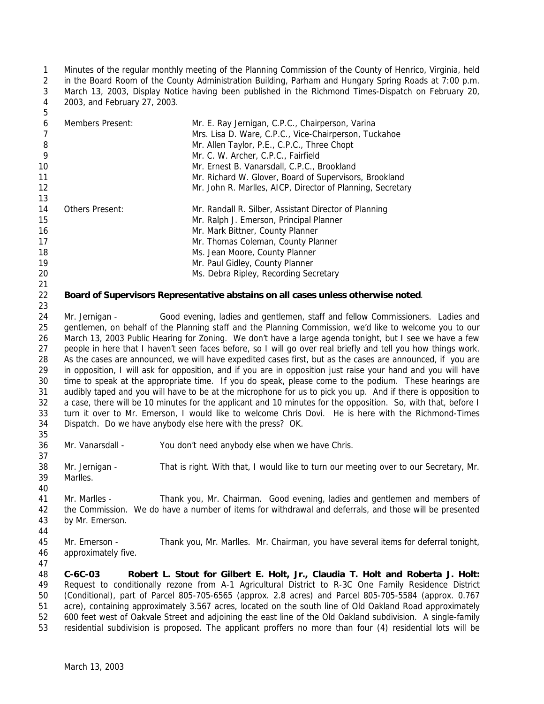Minutes of the regular monthly meeting of the Planning Commission of the County of Henrico, Virginia, held in the Board Room of the County Administration Building, Parham and Hungary Spring Roads at 7:00 p.m. March 13, 2003, Display Notice having been published in the Richmond Times-Dispatch on February 20, 2003, and February 27, 2003.

| 6  | Members Present:       | Mr. E. Ray Jernigan, C.P.C., Chairperson, Varina           |
|----|------------------------|------------------------------------------------------------|
|    |                        | Mrs. Lisa D. Ware, C.P.C., Vice-Chairperson, Tuckahoe      |
| 8  |                        | Mr. Allen Taylor, P.E., C.P.C., Three Chopt                |
| 9  |                        | Mr. C. W. Archer, C.P.C., Fairfield                        |
| 10 |                        | Mr. Ernest B. Vanarsdall, C.P.C., Brookland                |
| 11 |                        | Mr. Richard W. Glover, Board of Supervisors, Brookland     |
| 12 |                        | Mr. John R. Marlles, AICP, Director of Planning, Secretary |
| 13 |                        |                                                            |
| 14 | <b>Others Present:</b> | Mr. Randall R. Silber, Assistant Director of Planning      |
| 15 |                        | Mr. Ralph J. Emerson, Principal Planner                    |
| 16 |                        | Mr. Mark Bittner, County Planner                           |
| 17 |                        | Mr. Thomas Coleman, County Planner                         |
| 18 |                        | Ms. Jean Moore, County Planner                             |
| 19 |                        | Mr. Paul Gidley, County Planner                            |
| 20 |                        | Ms. Debra Ripley, Recording Secretary                      |

## **Board of Supervisors Representative abstains on all cases unless otherwise noted**.

 Mr. Jernigan - Good evening, ladies and gentlemen, staff and fellow Commissioners. Ladies and gentlemen, on behalf of the Planning staff and the Planning Commission, we'd like to welcome you to our March 13, 2003 Public Hearing for Zoning. We don't have a large agenda tonight, but I see we have a few people in here that I haven't seen faces before, so I will go over real briefly and tell you how things work. As the cases are announced, we will have expedited cases first, but as the cases are announced, if you are in opposition, I will ask for opposition, and if you are in opposition just raise your hand and you will have time to speak at the appropriate time. If you do speak, please come to the podium. These hearings are audibly taped and you will have to be at the microphone for us to pick you up. And if there is opposition to a case, there will be 10 minutes for the applicant and 10 minutes for the opposition. So, with that, before I turn it over to Mr. Emerson, I would like to welcome Chris Dovi. He is here with the *Richmond-Times Dispatch.* Do we have anybody else here with the press? OK. 

Mr. Vanarsdall - You don't need anybody else when we have Chris.

 Mr. Jernigan - That is right. With that, I would like to turn our meeting over to our Secretary, Mr. Marlles.

- Mr. Marlles - Thank you, Mr. Chairman. Good evening, ladies and gentlemen and members of the Commission. We do have a number of items for withdrawal and deferrals, and those will be presented
- by Mr. Emerson.
- 

 Mr. Emerson - Thank you, Mr. Marlles. Mr. Chairman, you have several items for deferral tonight, approximately five.

 **C-6C-03 Robert L. Stout for Gilbert E. Holt, Jr., Claudia T. Holt and Roberta J. Holt:** Request to conditionally rezone from A-1 Agricultural District to R-3C One Family Residence District (Conditional), part of Parcel 805-705-6565 (approx. 2.8 acres) and Parcel 805-705-5584 (approx. 0.767 acre), containing approximately 3.567 acres, located on the south line of Old Oakland Road approximately 600 feet west of Oakvale Street and adjoining the east line of the Old Oakland subdivision. A single-family residential subdivision is proposed. The applicant proffers no more than four (4) residential lots will be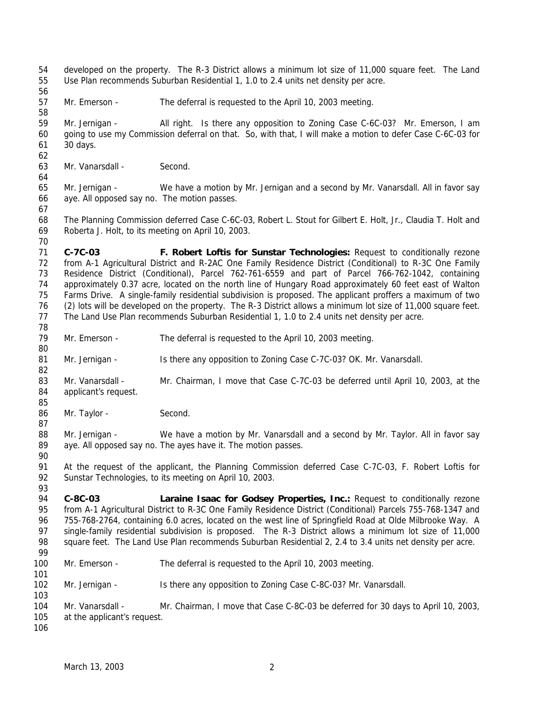developed on the property. The R-3 District allows a minimum lot size of 11,000 square feet. The Land Use Plan recommends Suburban Residential 1, 1.0 to 2.4 units net density per acre. Mr. Emerson - The deferral is requested to the April 10, 2003 meeting. Mr. Jernigan - All right. Is there any opposition to Zoning Case C-6C-03? Mr. Emerson, I am going to use my Commission deferral on that. So, with that, I will make a motion to defer Case C-6C-03 for 30 days. Mr. Vanarsdall - Second. Mr. Jernigan - We have a motion by Mr. Jernigan and a second by Mr. Vanarsdall. All in favor say aye. All opposed say no. The motion passes. The Planning Commission deferred Case C-6C-03, Robert L. Stout for Gilbert E. Holt, Jr., Claudia T. Holt and Roberta J. Holt, to its meeting on April 10, 2003. **C-7C-03 F. Robert Loftis for Sunstar Technologies:** Request to conditionally rezone from A-1 Agricultural District and R-2AC One Family Residence District (Conditional) to R-3C One Family Residence District (Conditional), Parcel 762-761-6559 and part of Parcel 766-762-1042, containing approximately 0.37 acre, located on the north line of Hungary Road approximately 60 feet east of Walton Farms Drive. A single-family residential subdivision is proposed. The applicant proffers a maximum of two (2) lots will be developed on the property. The R-3 District allows a minimum lot size of 11,000 square feet. The Land Use Plan recommends Suburban Residential 1, 1.0 to 2.4 units net density per acre. Mr. Emerson - The deferral is requested to the April 10, 2003 meeting. Mr. Jernigan - Is there any opposition to Zoning Case C-7C-03? OK. Mr. Vanarsdall. 83 Mr. Vanarsdall - Mr. Chairman, I move that Case C-7C-03 be deferred until April 10, 2003, at the applicant's request. 86 Mr. Taylor - Second. 88 Mr. Jernigan - We have a motion by Mr. Vanarsdall and a second by Mr. Taylor. All in favor say aye. All opposed say no. The ayes have it. The motion passes. At the request of the applicant, the Planning Commission deferred Case C-7C-03, F. Robert Loftis for Sunstar Technologies, to its meeting on April 10, 2003. **C-8C-03 Laraine Isaac for Godsey Properties, Inc.:** Request to conditionally rezone 95 from A-1 Agricultural District to R-3C One Family Residence District (Conditional) Parcels 755-768-1347 and 755-768-2764, containing 6.0 acres, located on the west line of Springfield Road at Olde Milbrooke Way. A 97 single-family residential subdivision is proposed. The R-3 District allows a minimum lot size of 11,000 square feet. The Land Use Plan recommends Suburban Residential 2, 2.4 to 3.4 units net density per acre. Mr. Emerson - The deferral is requested to the April 10, 2003 meeting. Mr. Jernigan - Is there any opposition to Zoning Case C-8C-03? Mr. Vanarsdall. Mr. Vanarsdall - Mr. Chairman, I move that Case C-8C-03 be deferred for 30 days to April 10, 2003, at the applicant's request.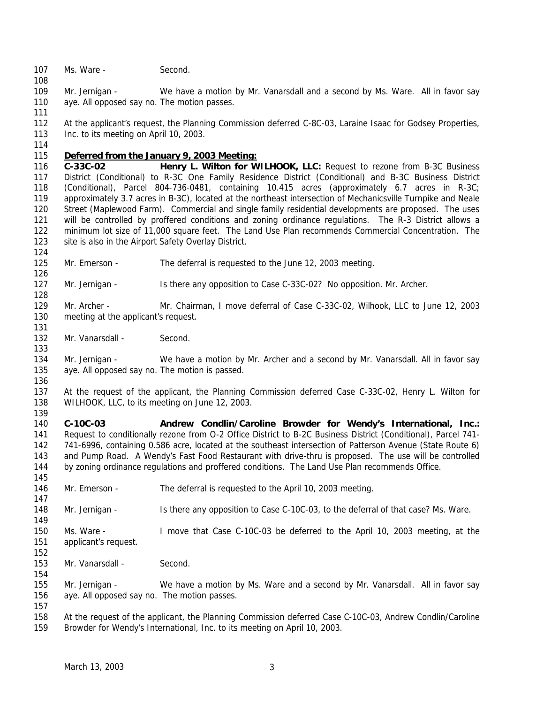107 Ms. Ware - Second.

 Mr. Jernigan - We have a motion by Mr. Vanarsdall and a second by Ms. Ware. All in favor say aye. All opposed say no. The motion passes.

 At the applicant's request, the Planning Commission deferred C-8C-03, Laraine Isaac for Godsey Properties, 113 Inc. to its meeting on April 10, 2003.

## *Deferred from the January 9, 2003 Meeting:*

 **C-33C-02 Henry L. Wilton for WILHOOK, LLC:** Request to rezone from B-3C Business District (Conditional) to R-3C One Family Residence District (Conditional) and B-3C Business District (Conditional), Parcel 804-736-0481, containing 10.415 acres (approximately 6.7 acres in R-3C; approximately 3.7 acres in B-3C), located at the northeast intersection of Mechanicsville Turnpike and Neale Street (Maplewood Farm). Commercial and single family residential developments are proposed. The uses 121 will be controlled by proffered conditions and zoning ordinance regulations. The R-3 District allows a minimum lot size of 11,000 square feet. The Land Use Plan recommends Commercial Concentration. The 123 site is also in the Airport Safety Overlay District.

Mr. Emerson - The deferral is requested to the June 12, 2003 meeting.

 Mr. Jernigan - Is there any opposition to Case C-33C-02? No opposition. Mr. Archer. 

 Mr. Archer - Mr. Chairman, I move deferral of Case C-33C-02, Wilhook, LLC to June 12, 2003 meeting at the applicant's request. 

132 Mr. Vanarsdall - Second.

134 Mr. Jernigan - We have a motion by Mr. Archer and a second by Mr. Vanarsdall. All in favor say aye. All opposed say no. The motion is passed.

 At the request of the applicant, the Planning Commission deferred Case C-33C-02, Henry L. Wilton for WILHOOK, LLC, to its meeting on June 12, 2003.

 **C-10C-03 Andrew Condlin/Caroline Browder for Wendy's International, Inc.:** Request to conditionally rezone from O-2 Office District to B-2C Business District (Conditional), Parcel 741- 741-6996, containing 0.586 acre, located at the southeast intersection of Patterson Avenue (State Route 6) and Pump Road. A Wendy's Fast Food Restaurant with drive-thru is proposed. The use will be controlled by zoning ordinance regulations and proffered conditions. The Land Use Plan recommends Office. 

Mr. Emerson - The deferral is requested to the April 10, 2003 meeting.

Mr. Jernigan - Is there any opposition to Case C-10C-03, to the deferral of that case? Ms. Ware.

 Ms. Ware - I move that Case C-10C-03 be deferred to the April 10, 2003 meeting, at the applicant's request.

 153 Mr. Vanarsdall - Second.

 Mr. Jernigan - We have a motion by Ms. Ware and a second by Mr. Vanarsdall. All in favor say aye. All opposed say no. The motion passes.

 At the request of the applicant, the Planning Commission deferred Case C-10C-03, Andrew Condlin/Caroline Browder for Wendy's International, Inc. to its meeting on April 10, 2003.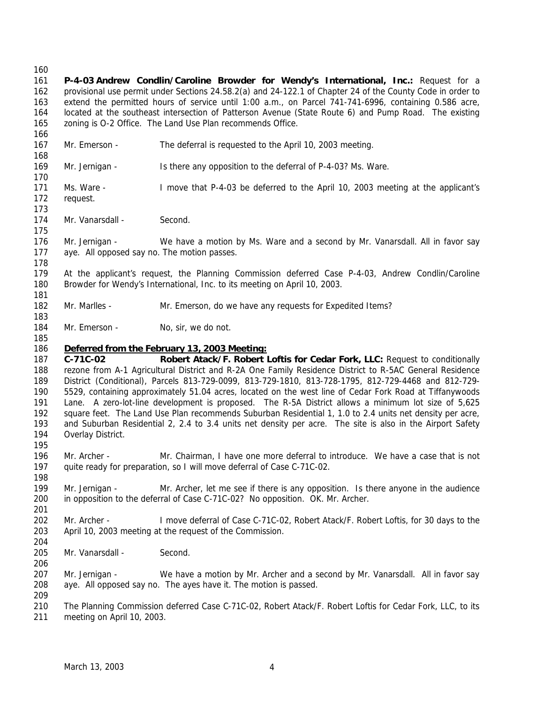## 

 **P-4-03 Andrew Condlin/Caroline Browder for Wendy's International, Inc.:** Request for a provisional use permit under Sections 24.58.2(a) and 24-122.1 of Chapter 24 of the County Code in order to extend the permitted hours of service until 1:00 a.m., on Parcel 741-741-6996, containing 0.586 acre, located at the southeast intersection of Patterson Avenue (State Route 6) and Pump Road. The existing zoning is O-2 Office. The Land Use Plan recommends Office.

 Mr. Emerson - The deferral is requested to the April 10, 2003 meeting. 

- Mr. Jernigan Is there any opposition to the deferral of P-4-03? Ms. Ware.
- Ms. Ware I move that P-4-03 be deferred to the April 10, 2003 meeting at the applicant's request.
- 174 Mr. Vanarsdall Second.
- Mr. Jernigan We have a motion by Ms. Ware and a second by Mr. Vanarsdall. All in favor say aye. All opposed say no. The motion passes.
- At the applicant's request, the Planning Commission deferred Case P-4-03, Andrew Condlin/Caroline Browder for Wendy's International, Inc. to its meeting on April 10, 2003.
- Mr. Marlles Mr. Emerson, do we have any requests for Expedited Items?
- 184 Mr. Emerson No, sir, we do not.

## *Deferred from the February 13, 2003 Meeting:*

 **C-71C-02 Robert Atack/F. Robert Loftis for Cedar Fork, LLC:** Request to conditionally rezone from A-1 Agricultural District and R-2A One Family Residence District to R-5AC General Residence District (Conditional), Parcels 813-729-0099, 813-729-1810, 813-728-1795, 812-729-4468 and 812-729- 5529, containing approximately 51.04 acres, located on the west line of Cedar Fork Road at Tiffanywoods Lane. A zero-lot-line development is proposed. The R-5A District allows a minimum lot size of 5,625 square feet. The Land Use Plan recommends Suburban Residential 1, 1.0 to 2.4 units net density per acre, and Suburban Residential 2, 2.4 to 3.4 units net density per acre. The site is also in the Airport Safety Overlay District. 

- Mr. Archer Mr. Chairman, I have one more deferral to introduce. We have a case that is not 197 quite ready for preparation, so I will move deferral of Case C-71C-02.
- Mr. Jernigan Mr. Archer, let me see if there is any opposition. Is there anyone in the audience in opposition to the deferral of Case C-71C-02? No opposition. OK. Mr. Archer.
- Mr. Archer I move deferral of Case C-71C-02, Robert Atack/F. Robert Loftis, for 30 days to the April 10, 2003 meeting at the request of the Commission.
- 205 Mr. Vanarsdall Second.
- Mr. Jernigan We have a motion by Mr. Archer and a second by Mr. Vanarsdall. All in favor say aye. All opposed say no. The ayes have it. The motion is passed.
- The Planning Commission deferred Case C-71C-02, Robert Atack/F. Robert Loftis for Cedar Fork, LLC, to its meeting on April 10, 2003.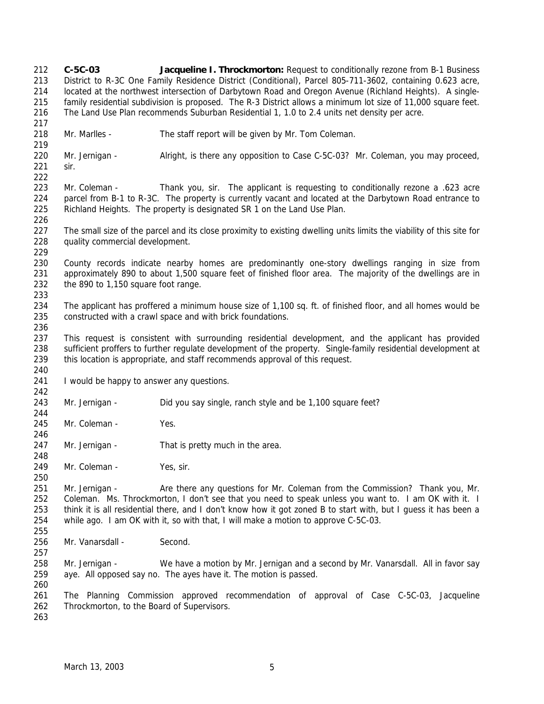**C-5C-03 Jacqueline I. Throckmorton:** Request to conditionally rezone from B-1 Business District to R-3C One Family Residence District (Conditional), Parcel 805-711-3602, containing 0.623 acre, located at the northwest intersection of Darbytown Road and Oregon Avenue (Richland Heights). A single- family residential subdivision is proposed. The R-3 District allows a minimum lot size of 11,000 square feet. The Land Use Plan recommends Suburban Residential 1, 1.0 to 2.4 units net density per acre. Mr. Marlles - The staff report will be given by Mr. Tom Coleman. Mr. Jernigan - Alright, is there any opposition to Case C-5C-03? Mr. Coleman, you may proceed, sir. Mr. Coleman - Thank you, sir. The applicant is requesting to conditionally rezone a .623 acre parcel from B-1 to R-3C. The property is currently vacant and located at the Darbytown Road entrance to Richland Heights. The property is designated SR 1 on the Land Use Plan. The small size of the parcel and its close proximity to existing dwelling units limits the viability of this site for quality commercial development. County records indicate nearby homes are predominantly one-story dwellings ranging in size from approximately 890 to about 1,500 square feet of finished floor area. The majority of the dwellings are in the 890 to 1,150 square foot range. The applicant has proffered a minimum house size of 1,100 sq. ft. of finished floor, and all homes would be constructed with a crawl space and with brick foundations. This request is consistent with surrounding residential development, and the applicant has provided sufficient proffers to further regulate development of the property. Single-family residential development at this location is appropriate, and staff recommends approval of this request. 241 I would be happy to answer any questions. Mr. Jernigan - Did you say single, ranch style and be 1,100 square feet? 245 Mr. Coleman - Yes. 247 Mr. Jernigan - That is pretty much in the area. 249 Mr. Coleman - Yes, sir. Mr. Jernigan - Are there any questions for Mr. Coleman from the Commission? Thank you, Mr. Coleman. Ms. Throckmorton, I don't see that you need to speak unless you want to. I am OK with it. I think it is all residential there, and I don't know how it got zoned B to start with, but I guess it has been a while ago. I am OK with it, so with that, I will make a motion to approve C-5C-03. 256 Mr. Vanarsdall - Second. Mr. Jernigan - We have a motion by Mr. Jernigan and a second by Mr. Vanarsdall. All in favor say aye. All opposed say no. The ayes have it. The motion is passed. The Planning Commission approved recommendation of approval of Case C-5C-03, Jacqueline Throckmorton, to the Board of Supervisors.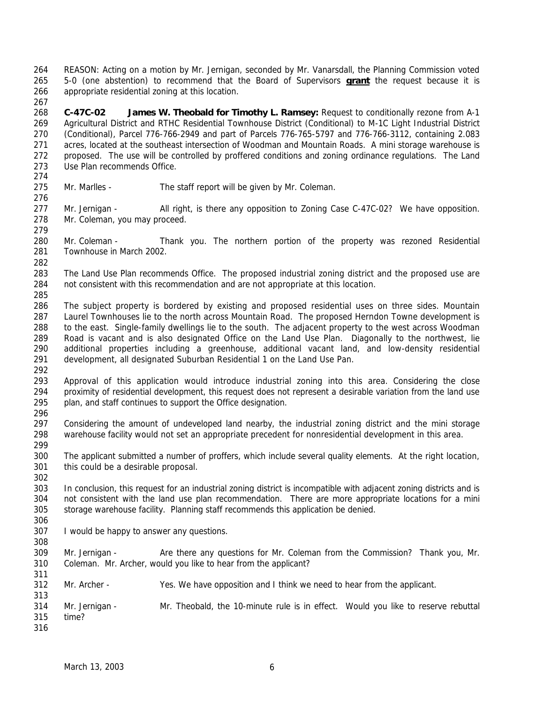REASON: Acting on a motion by Mr. Jernigan, seconded by Mr. Vanarsdall, the Planning Commission voted 5-0 (one abstention) to recommend that the Board of Supervisors **grant** the request because it is appropriate residential zoning at this location. 

 **C-47C-02 James W. Theobald for Timothy L. Ramsey:** Request to conditionally rezone from A-1 Agricultural District and RTHC Residential Townhouse District (Conditional) to M-1C Light Industrial District (Conditional), Parcel 776-766-2949 and part of Parcels 776-765-5797 and 776-766-3112, containing 2.083 acres, located at the southeast intersection of Woodman and Mountain Roads. A mini storage warehouse is proposed. The use will be controlled by proffered conditions and zoning ordinance regulations. The Land Use Plan recommends Office.

Mr. Marlles - The staff report will be given by Mr. Coleman.

277 Mr. Jernigan - All right, is there any opposition to Zoning Case C-47C-02? We have opposition. Mr. Coleman, you may proceed.

 Mr. Coleman - Thank you. The northern portion of the property was rezoned Residential Townhouse in March 2002.

- 283 The Land Use Plan recommends Office. The proposed industrial zoning district and the proposed use are not consistent with this recommendation and are not appropriate at this location.
- 

 The subject property is bordered by existing and proposed residential uses on three sides. Mountain Laurel Townhouses lie to the north across Mountain Road. The proposed Herndon Towne development is to the east. Single-family dwellings lie to the south. The adjacent property to the west across Woodman Road is vacant and is also designated Office on the Land Use Plan. Diagonally to the northwest, lie additional properties including a greenhouse, additional vacant land, and low-density residential development, all designated Suburban Residential 1 on the Land Use Pan.

 Approval of this application would introduce industrial zoning into this area. Considering the close proximity of residential development, this request does not represent a desirable variation from the land use plan, and staff continues to support the Office designation. 

 Considering the amount of undeveloped land nearby, the industrial zoning district and the mini storage warehouse facility would not set an appropriate precedent for nonresidential development in this area.

 The applicant submitted a number of proffers, which include several quality elements. At the right location, this could be a desirable proposal.

 In conclusion, this request for an industrial zoning district is incompatible with adjacent zoning districts and is not consistent with the land use plan recommendation. There are more appropriate locations for a mini storage warehouse facility. Planning staff recommends this application be denied.

I would be happy to answer any questions.

309 Mr. Jernigan - Are there any questions for Mr. Coleman from the Commission? Thank you, Mr. Coleman. Mr. Archer, would you like to hear from the applicant?

Mr. Archer - Yes. We have opposition and I think we need to hear from the applicant.

 Mr. Jernigan - Mr. Theobald, the 10-minute rule is in effect. Would you like to reserve rebuttal time?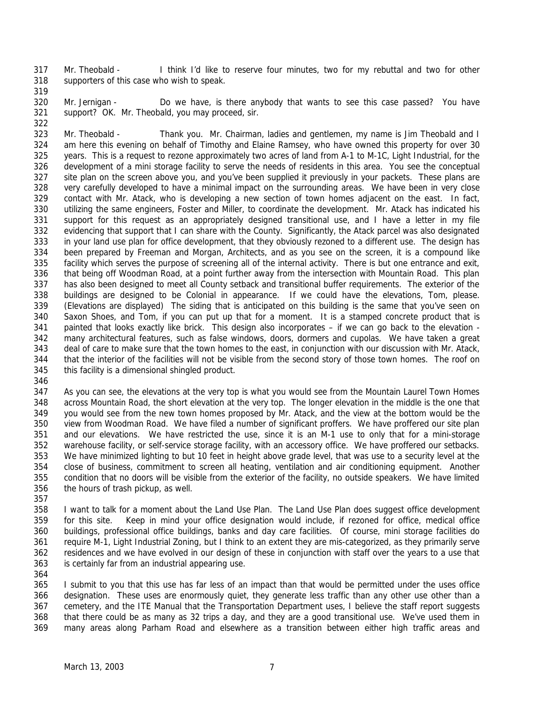Mr. Theobald - I think I'd like to reserve four minutes, two for my rebuttal and two for other supporters of this case who wish to speak.

 Mr. Jernigan - Do we have, is there anybody that wants to see this case passed? You have

support? OK. Mr. Theobald, you may proceed, sir.

 Mr. Theobald - Thank you. Mr. Chairman, ladies and gentlemen, my name is Jim Theobald and I am here this evening on behalf of Timothy and Elaine Ramsey, who have owned this property for over 30 years. This is a request to rezone approximately two acres of land from A-1 to M-1C, Light Industrial, for the development of a mini storage facility to serve the needs of residents in this area. You see the conceptual site plan on the screen above you, and you've been supplied it previously in your packets. These plans are very carefully developed to have a minimal impact on the surrounding areas. We have been in very close contact with Mr. Atack, who is developing a new section of town homes adjacent on the east. In fact, utilizing the same engineers, Foster and Miller, to coordinate the development. Mr. Atack has indicated his support for this request as an appropriately designed transitional use, and I have a letter in my file evidencing that support that I can share with the County. Significantly, the Atack parcel was also designated in your land use plan for office development, that they obviously rezoned to a different use. The design has been prepared by Freeman and Morgan, Architects, and as you see on the screen, it is a compound like facility which serves the purpose of screening all of the internal activity. There is but one entrance and exit, that being off Woodman Road, at a point further away from the intersection with Mountain Road. This plan has also been designed to meet all County setback and transitional buffer requirements. The exterior of the buildings are designed to be Colonial in appearance. If we could have the elevations, Tom, please. (Elevations are displayed) The siding that is anticipated on this building is the same that you've seen on Saxon Shoes, and Tom, if you can put up that for a moment. It is a stamped concrete product that is painted that looks exactly like brick. This design also incorporates – if we can go back to the elevation - many architectural features, such as false windows, doors, dormers and cupolas. We have taken a great 343 deal of care to make sure that the town homes to the east, in conjunction with our discussion with Mr. Atack, that the interior of the facilities will not be visible from the second story of those town homes. The roof on this facility is a dimensional shingled product.

 As you can see, the elevations at the very top is what you would see from the Mountain Laurel Town Homes across Mountain Road, the short elevation at the very top. The longer elevation in the middle is the one that you would see from the new town homes proposed by Mr. Atack, and the view at the bottom would be the view from Woodman Road. We have filed a number of significant proffers. We have proffered our site plan and our elevations. We have restricted the use, since it is an M-1 use to only that for a mini-storage warehouse facility, or self-service storage facility, with an accessory office. We have proffered our setbacks. We have minimized lighting to but 10 feet in height above grade level, that was use to a security level at the close of business, commitment to screen all heating, ventilation and air conditioning equipment. Another condition that no doors will be visible from the exterior of the facility, no outside speakers. We have limited the hours of trash pickup, as well.

 I want to talk for a moment about the Land Use Plan. The Land Use Plan does suggest office development for this site. Keep in mind your office designation would include, if rezoned for office, medical office buildings, professional office buildings, banks and day care facilities. Of course, mini storage facilities do require M-1, Light Industrial Zoning, but I think to an extent they are mis-categorized, as they primarily serve residences and we have evolved in our design of these in conjunction with staff over the years to a use that is certainly far from an industrial appearing use.

 I submit to you that this use has far less of an impact than that would be permitted under the uses office designation. These uses are enormously quiet, they generate less traffic than any other use other than a cemetery, and the ITE Manual that the Transportation Department uses, I believe the staff report suggests that there could be as many as 32 trips a day, and they are a good transitional use. We've used them in many areas along Parham Road and elsewhere as a transition between either high traffic areas and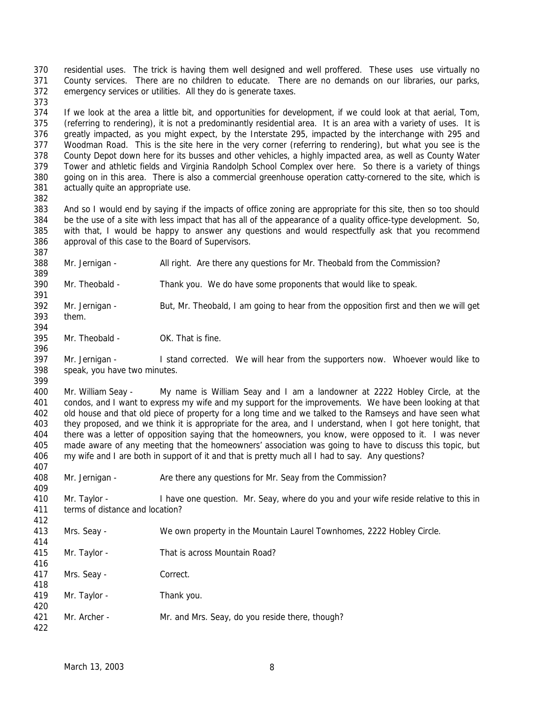residential uses. The trick is having them well designed and well proffered. These uses use virtually no County services. There are no children to educate. There are no demands on our libraries, our parks, emergency services or utilities. All they do is generate taxes. 

 If we look at the area a little bit, and opportunities for development, if we could look at that aerial, Tom, (referring to rendering), it is not a predominantly residential area. It is an area with a variety of uses. It is greatly impacted, as you might expect, by the Interstate 295, impacted by the interchange with 295 and Woodman Road. This is the site here in the very corner (referring to rendering), but what you see is the County Depot down here for its busses and other vehicles, a highly impacted area, as well as County Water Tower and athletic fields and Virginia Randolph School Complex over here. So there is a variety of things going on in this area. There is also a commercial greenhouse operation catty-cornered to the site, which is actually quite an appropriate use.

 And so I would end by saying if the impacts of office zoning are appropriate for this site, then so too should be the use of a site with less impact that has all of the appearance of a quality office-type development. So, with that, I would be happy to answer any questions and would respectfully ask that you recommend approval of this case to the Board of Supervisors.

Mr. Jernigan - All right. Are there any questions for Mr. Theobald from the Commission?

 Mr. Theobald - Thank you. We do have some proponents that would like to speak. 

 Mr. Jernigan - But, Mr. Theobald, I am going to hear from the opposition first and then we will get them. 

Mr. Theobald - OK. That is fine.

 Mr. Jernigan - I stand corrected. We will hear from the supporters now. Whoever would like to speak, you have two minutes. 

 Mr. William Seay - My name is William Seay and I am a landowner at 2222 Hobley Circle, at the condos, and I want to express my wife and my support for the improvements. We have been looking at that old house and that old piece of property for a long time and we talked to the Ramseys and have seen what they proposed, and we think it is appropriate for the area, and I understand, when I got here tonight, that there was a letter of opposition saying that the homeowners, you know, were opposed to it. I was never made aware of any meeting that the homeowners' association was going to have to discuss this topic, but my wife and I are both in support of it and that is pretty much all I had to say. Any questions?

408 Mr. Jernigan - Are there any questions for Mr. Seay from the Commission?

410 Mr. Taylor - I have one question. Mr. Seay, where do you and your wife reside relative to this in terms of distance and location?

- Mrs. Seay We own property in the Mountain Laurel Townhomes, 2222 Hobley Circle.
- Mr. Taylor That is across Mountain Road?

Mrs. Seay - Correct.

 Mr. Taylor - Thank you. 

Mr. Archer - Mr. and Mrs. Seay, do you reside there, though?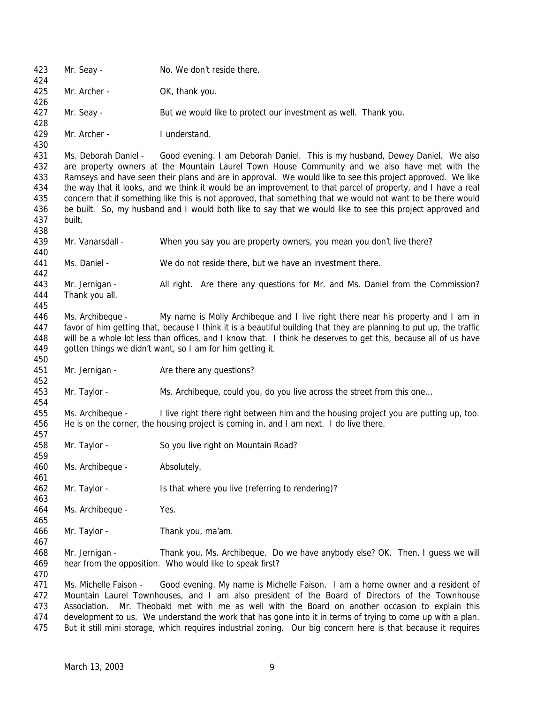| 423<br>424                      | Mr. Seay -                                                                                                                                                                                                                                                                                                                                                                                                                                                                                                                                     | No. We don't reside there.                                                                                          |  |
|---------------------------------|------------------------------------------------------------------------------------------------------------------------------------------------------------------------------------------------------------------------------------------------------------------------------------------------------------------------------------------------------------------------------------------------------------------------------------------------------------------------------------------------------------------------------------------------|---------------------------------------------------------------------------------------------------------------------|--|
| 425                             | Mr. Archer -                                                                                                                                                                                                                                                                                                                                                                                                                                                                                                                                   | OK, thank you.                                                                                                      |  |
| 426                             |                                                                                                                                                                                                                                                                                                                                                                                                                                                                                                                                                |                                                                                                                     |  |
| 427<br>428                      | Mr. Seay -                                                                                                                                                                                                                                                                                                                                                                                                                                                                                                                                     | But we would like to protect our investment as well. Thank you.                                                     |  |
| 429                             | Mr. Archer -                                                                                                                                                                                                                                                                                                                                                                                                                                                                                                                                   | I understand.                                                                                                       |  |
| 430<br>431                      |                                                                                                                                                                                                                                                                                                                                                                                                                                                                                                                                                | Ms. Deborah Daniel - Good evening. I am Deborah Daniel. This is my husband, Dewey Daniel. We also                   |  |
| 432<br>433<br>434               | are property owners at the Mountain Laurel Town House Community and we also have met with the<br>Ramseys and have seen their plans and are in approval. We would like to see this project approved. We like<br>the way that it looks, and we think it would be an improvement to that parcel of property, and I have a real                                                                                                                                                                                                                    |                                                                                                                     |  |
| 435<br>436<br>437<br>438        | concern that if something like this is not approved, that something that we would not want to be there would<br>be built. So, my husband and I would both like to say that we would like to see this project approved and<br>built.                                                                                                                                                                                                                                                                                                            |                                                                                                                     |  |
| 439                             | Mr. Vanarsdall -                                                                                                                                                                                                                                                                                                                                                                                                                                                                                                                               | When you say you are property owners, you mean you don't live there?                                                |  |
| 440<br>441                      | Ms. Daniel -                                                                                                                                                                                                                                                                                                                                                                                                                                                                                                                                   | We do not reside there, but we have an investment there.                                                            |  |
| 442                             |                                                                                                                                                                                                                                                                                                                                                                                                                                                                                                                                                |                                                                                                                     |  |
| 443<br>444                      | Mr. Jernigan -<br>Thank you all.                                                                                                                                                                                                                                                                                                                                                                                                                                                                                                               | All right. Are there any questions for Mr. and Ms. Daniel from the Commission?                                      |  |
| 445                             |                                                                                                                                                                                                                                                                                                                                                                                                                                                                                                                                                |                                                                                                                     |  |
| 446                             | Ms. Archibeque -                                                                                                                                                                                                                                                                                                                                                                                                                                                                                                                               | My name is Molly Archibeque and I live right there near his property and I am in                                    |  |
| 447                             |                                                                                                                                                                                                                                                                                                                                                                                                                                                                                                                                                | favor of him getting that, because I think it is a beautiful building that they are planning to put up, the traffic |  |
| 448                             |                                                                                                                                                                                                                                                                                                                                                                                                                                                                                                                                                | will be a whole lot less than offices, and I know that. I think he deserves to get this, because all of us have     |  |
| 449                             |                                                                                                                                                                                                                                                                                                                                                                                                                                                                                                                                                | gotten things we didn't want, so I am for him getting it.                                                           |  |
| 450                             |                                                                                                                                                                                                                                                                                                                                                                                                                                                                                                                                                |                                                                                                                     |  |
| 451<br>452                      | Mr. Jernigan -                                                                                                                                                                                                                                                                                                                                                                                                                                                                                                                                 | Are there any questions?                                                                                            |  |
| 453<br>454                      | Mr. Taylor -                                                                                                                                                                                                                                                                                                                                                                                                                                                                                                                                   | Ms. Archibeque, could you, do you live across the street from this one                                              |  |
| 455                             | Ms. Archibeque -                                                                                                                                                                                                                                                                                                                                                                                                                                                                                                                               | I live right there right between him and the housing project you are putting up, too.                               |  |
| 456                             | He is on the corner, the housing project is coming in, and I am next. I do live there.                                                                                                                                                                                                                                                                                                                                                                                                                                                         |                                                                                                                     |  |
| 457                             |                                                                                                                                                                                                                                                                                                                                                                                                                                                                                                                                                |                                                                                                                     |  |
| 458<br>459                      | Mr. Taylor -                                                                                                                                                                                                                                                                                                                                                                                                                                                                                                                                   | So you live right on Mountain Road?                                                                                 |  |
| 460<br>461                      | Ms. Archibeque -                                                                                                                                                                                                                                                                                                                                                                                                                                                                                                                               | Absolutely.                                                                                                         |  |
| 462<br>463                      | Mr. Taylor -                                                                                                                                                                                                                                                                                                                                                                                                                                                                                                                                   | Is that where you live (referring to rendering)?                                                                    |  |
| 464<br>465                      | Ms. Archibeque -                                                                                                                                                                                                                                                                                                                                                                                                                                                                                                                               | Yes.                                                                                                                |  |
| 466<br>467                      | Mr. Taylor -                                                                                                                                                                                                                                                                                                                                                                                                                                                                                                                                   | Thank you, ma'am.                                                                                                   |  |
| 468<br>469<br>470               | Mr. Jernigan -<br>Thank you, Ms. Archibeque. Do we have anybody else? OK. Then, I guess we will<br>hear from the opposition. Who would like to speak first?                                                                                                                                                                                                                                                                                                                                                                                    |                                                                                                                     |  |
| 471<br>472<br>473<br>474<br>475 | Ms. Michelle Faison -<br>Good evening. My name is Michelle Faison. I am a home owner and a resident of<br>Mountain Laurel Townhouses, and I am also president of the Board of Directors of the Townhouse<br>Mr. Theobald met with me as well with the Board on another occasion to explain this<br>Association.<br>development to us. We understand the work that has gone into it in terms of trying to come up with a plan.<br>But it still mini storage, which requires industrial zoning. Our big concern here is that because it requires |                                                                                                                     |  |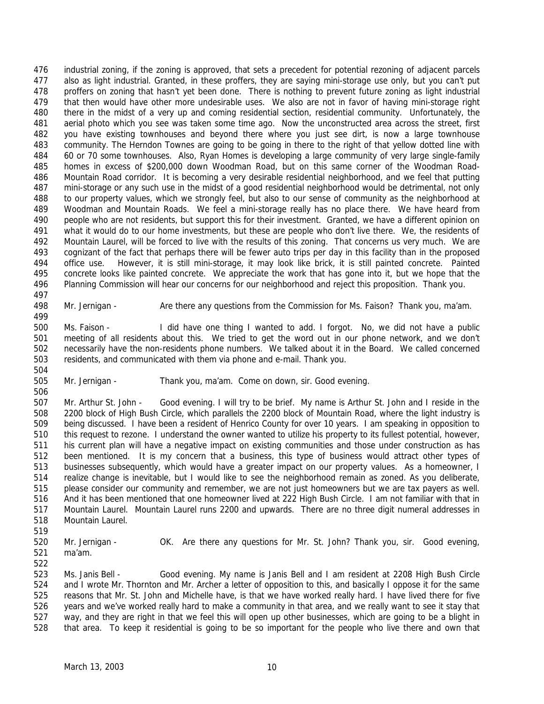industrial zoning, if the zoning is approved, that sets a precedent for potential rezoning of adjacent parcels also as light industrial. Granted, in these proffers, they are saying mini-storage use only, but you can't put proffers on zoning that hasn't yet been done. There is nothing to prevent future zoning as light industrial that then would have other more undesirable uses. We also are not in favor of having mini-storage right there in the midst of a very up and coming residential section, residential community. Unfortunately, the aerial photo which you see was taken some time ago. Now the unconstructed area across the street, first you have existing townhouses and beyond there where you just see dirt, is now a large townhouse community. The Herndon Townes are going to be going in there to the right of that yellow dotted line with 60 or 70 some townhouses. Also, Ryan Homes is developing a large community of very large single-family homes in excess of \$200,000 down Woodman Road, but on this same corner of the Woodman Road- Mountain Road corridor. It is becoming a very desirable residential neighborhood, and we feel that putting mini-storage or any such use in the midst of a good residential neighborhood would be detrimental, not only to our property values, which we strongly feel, but also to our sense of community as the neighborhood at Woodman and Mountain Roads. We feel a mini-storage really has no place there. We have heard from people who are not residents, but support this for their investment. Granted, we have a different opinion on what it would do to our home investments, but these are people who don't live there. We, the residents of Mountain Laurel, will be forced to live with the results of this zoning. That concerns us very much. We are cognizant of the fact that perhaps there will be fewer auto trips per day in this facility than in the proposed office use. However, it is still mini-storage, it may look like brick, it is still painted concrete. Painted concrete looks like painted concrete. We appreciate the work that has gone into it, but we hope that the Planning Commission will hear our concerns for our neighborhood and reject this proposition. Thank you.

 

Mr. Jernigan - Are there any questions from the Commission for Ms. Faison? Thank you, ma'am.

 Ms. Faison - I did have one thing I wanted to add. I forgot. No, we did not have a public meeting of all residents about this. We tried to get the word out in our phone network, and we don't necessarily have the non-residents phone numbers. We talked about it in the Board. We called concerned residents, and communicated with them via phone and e-mail. Thank you.

Mr. Jernigan - Thank you, ma'am. Come on down, sir. Good evening.

 Mr. Arthur St. John - Good evening. I will try to be brief. My name is Arthur St. John and I reside in the 2200 block of High Bush Circle, which parallels the 2200 block of Mountain Road, where the light industry is being discussed. I have been a resident of Henrico County for over 10 years. I am speaking in opposition to this request to rezone. I understand the owner wanted to utilize his property to its fullest potential, however, his current plan will have a negative impact on existing communities and those under construction as has been mentioned. It is my concern that a business, this type of business would attract other types of businesses subsequently, which would have a greater impact on our property values. As a homeowner, I realize change is inevitable, but I would like to see the neighborhood remain as zoned. As you deliberate, please consider our community and remember, we are not just homeowners but we are tax payers as well. And it has been mentioned that one homeowner lived at 222 High Bush Circle. I am not familiar with that in Mountain Laurel. Mountain Laurel runs 2200 and upwards. There are no three digit numeral addresses in Mountain Laurel.

 Mr. Jernigan - OK. Are there any questions for Mr. St. John? Thank you, sir. Good evening, ma'am.

 Ms. Janis Bell - Good evening. My name is Janis Bell and I am resident at 2208 High Bush Circle and I wrote Mr. Thornton and Mr. Archer a letter of opposition to this, and basically I oppose it for the same reasons that Mr. St. John and Michelle have, is that we have worked really hard. I have lived there for five years and we've worked really hard to make a community in that area, and we really want to see it stay that way, and they are right in that we feel this will open up other businesses, which are going to be a blight in that area. To keep it residential is going to be so important for the people who live there and own that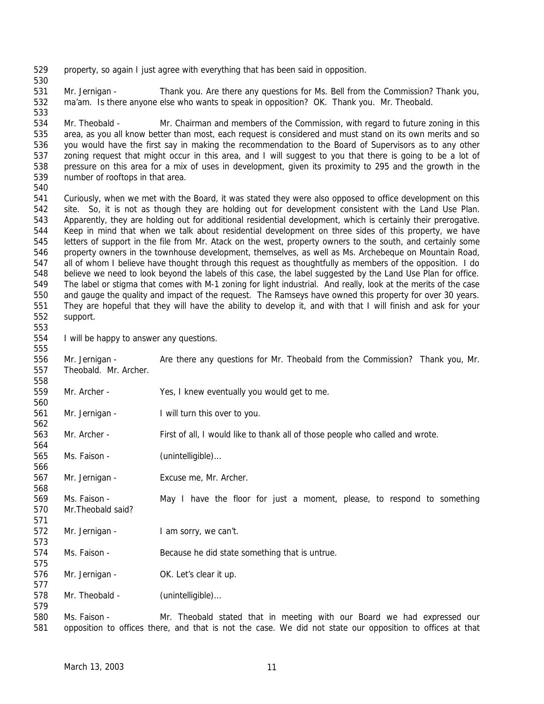property, so again I just agree with everything that has been said in opposition.

 Mr. Jernigan - Thank you. Are there any questions for Ms. Bell from the Commission? Thank you, ma'am. Is there anyone else who wants to speak in opposition? OK. Thank you. Mr. Theobald.

 Mr. Theobald - Mr. Chairman and members of the Commission, with regard to future zoning in this area, as you all know better than most, each request is considered and must stand on its own merits and so you would have the first say in making the recommendation to the Board of Supervisors as to any other zoning request that might occur in this area, and I will suggest to you that there is going to be a lot of pressure on this area for a mix of uses in development, given its proximity to 295 and the growth in the number of rooftops in that area.

 Curiously, when we met with the Board, it was stated they were also opposed to office development on this site. So, it is not as though they are holding out for development consistent with the Land Use Plan. Apparently, they are holding out for additional residential development, which is certainly their prerogative. Keep in mind that when we talk about residential development on three sides of this property, we have letters of support in the file from Mr. Atack on the west, property owners to the south, and certainly some property owners in the townhouse development, themselves, as well as Ms. Archebeque on Mountain Road, all of whom I believe have thought through this request as thoughtfully as members of the opposition. I do believe we need to look beyond the labels of this case, the label suggested by the Land Use Plan for office. The label or stigma that comes with M-1 zoning for light industrial. And really, look at the merits of the case and gauge the quality and impact of the request. The Ramseys have owned this property for over 30 years. They are hopeful that they will have the ability to develop it, and with that I will finish and ask for your support.

I will be happy to answer any questions.

 Mr. Jernigan - Are there any questions for Mr. Theobald from the Commission? Thank you, Mr. Theobald. Mr. Archer.

Mr. Archer - Yes, I knew eventually you would get to me.

Mr. Jernigan - I will turn this over to you.

 Mr. Archer - First of all, I would like to thank all of those people who called and wrote. 

565 Ms. Faison - (unintelligible)...

Mr. Jernigan - Excuse me, Mr. Archer.

 Ms. Faison - May I have the floor for just a moment, please, to respond to something Mr.Theobald said?

572 Mr. Jernigan - I am sorry, we can't.

Ms. Faison - Because he did state something that is untrue.

576 Mr. Jernigan - OK. Let's clear it up.

578 Mr. Theobald - (unintelligible)...

 Ms. Faison - Mr. Theobald stated that in meeting with our Board we had expressed our opposition to offices there, and that is not the case. We did not state our opposition to offices at that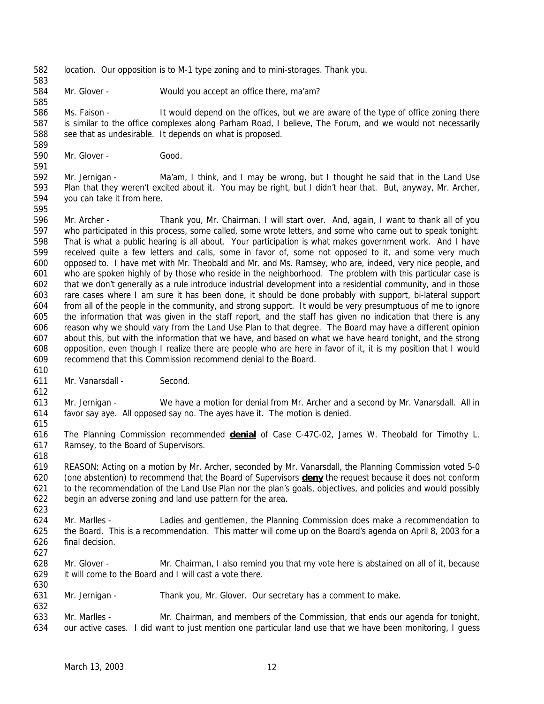- location. Our opposition is to M-1 type zoning and to mini-storages. Thank you.
- Mr. Glover Would you accept an office there, ma'am?

 Ms. Faison - It would depend on the offices, but we are aware of the type of office zoning there is similar to the office complexes along Parham Road, I believe, The Forum, and we would not necessarily 588 see that as undesirable. It depends on what is proposed.

Mr. Glover - Good.

 Mr. Jernigan - Ma'am, I think, and I may be wrong, but I thought he said that in the Land Use Plan that they weren't excited about it. You may be right, but I didn't hear that. But, anyway, Mr. Archer, you can take it from here.

- Mr. Archer - Thank you, Mr. Chairman. I will start over. And, again, I want to thank all of you who participated in this process, some called, some wrote letters, and some who came out to speak tonight. That is what a public hearing is all about. Your participation is what makes government work. And I have received quite a few letters and calls, some in favor of, some not opposed to it, and some very much opposed to. I have met with Mr. Theobald and Mr. and Ms. Ramsey, who are, indeed, very nice people, and who are spoken highly of by those who reside in the neighborhood. The problem with this particular case is that we don't generally as a rule introduce industrial development into a residential community, and in those rare cases where I am sure it has been done, it should be done probably with support, bi-lateral support from all of the people in the community, and strong support. It would be very presumptuous of me to ignore the information that was given in the staff report, and the staff has given no indication that there is any reason why we should vary from the Land Use Plan to that degree. The Board may have a different opinion about this, but with the information that we have, and based on what we have heard tonight, and the strong opposition, even though I realize there are people who are here in favor of it, it is my position that I would recommend that this Commission recommend denial to the Board.
- Mr. Vanarsdall Second.
- Mr. Jernigan - We have a motion for denial from Mr. Archer and a second by Mr. Vanarsdall. All in favor say aye. All opposed say no. The ayes have it. The motion is denied.
- The Planning Commission recommended **denial** of Case C-47C-02, James W. Theobald for Timothy L. Ramsey, to the Board of Supervisors.
- REASON: Acting on a motion by Mr. Archer, seconded by Mr. Vanarsdall, the Planning Commission voted 5-0 (one abstention) to recommend that the Board of Supervisors **deny** the request because it does not conform to the recommendation of the Land Use Plan nor the plan's goals, objectives, and policies and would possibly begin an adverse zoning and land use pattern for the area.
- Mr. Marlles Ladies and gentlemen, the Planning Commission does make a recommendation to the Board. This is a recommendation. This matter will come up on the Board's agenda on April 8, 2003 for a final decision.
- Mr. Glover Mr. Chairman, I also remind you that my vote here is abstained on all of it, because it will come to the Board and I will cast a vote there.
- Mr. Jernigan Thank you, Mr. Glover. Our secretary has a comment to make.
- Mr. Marlles Mr. Chairman, and members of the Commission, that ends our agenda for tonight, our active cases. I did want to just mention one particular land use that we have been monitoring, I guess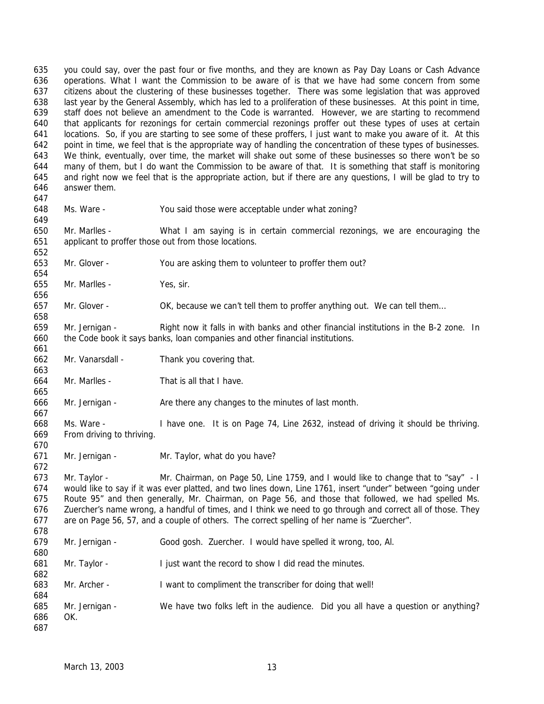operations. What I want the Commission to be aware of is that we have had some concern from some citizens about the clustering of these businesses together. There was some legislation that was approved last year by the General Assembly, which has led to a proliferation of these businesses. At this point in time, staff does not believe an amendment to the Code is warranted. However, we are starting to recommend that applicants for rezonings for certain commercial rezonings proffer out these types of uses at certain locations. So, if you are starting to see some of these proffers, I just want to make you aware of it. At this point in time, we feel that is the appropriate way of handling the concentration of these types of businesses. We think, eventually, over time, the market will shake out some of these businesses so there won't be so many of them, but I do want the Commission to be aware of that. It is something that staff is monitoring and right now we feel that is the appropriate action, but if there are any questions, I will be glad to try to answer them. Ms. Ware - You said those were acceptable under what zoning? Mr. Marlles - What I am saying is in certain commercial rezonings, we are encouraging the applicant to proffer those out from those locations. Mr. Glover - You are asking them to volunteer to proffer them out? Mr. Marlles - Yes, sir. Mr. Glover - OK, because we can't tell them to proffer anything out. We can tell them… Mr. Jernigan - Right now it falls in with banks and other financial institutions in the B-2 zone. In the Code book it says banks, loan companies and other financial institutions. Mr. Vanarsdall - Thank you covering that. Mr. Marlles - That is all that I have. Mr. Jernigan - Are there any changes to the minutes of last month. Ms. Ware - I have one. It is on Page 74, Line 2632, instead of driving it should be thriving. From driving to thriving. Mr. Jernigan - Mr. Taylor, what do you have? Mr. Taylor - Mr. Chairman, on Page 50, Line 1759, and I would like to change that to "say" - I would like to say if it was ever platted, and two lines down, Line 1761, insert "under" between "going under Route 95" and then generally, Mr. Chairman, on Page 56, and those that followed, we had spelled Ms. Zuercher's name wrong, a handful of times, and I think we need to go through and correct all of those. They are on Page 56, 57, and a couple of others. The correct spelling of her name is "Zuercher". Mr. Jernigan - Good gosh. Zuercher. I would have spelled it wrong, too, Al. Mr. Taylor - I just want the record to show I did read the minutes. Mr. Archer - I want to compliment the transcriber for doing that well! Mr. Jernigan - We have two folks left in the audience. Did you all have a question or anything? OK. 

you could say, over the past four or five months, and they are known as Pay Day Loans or Cash Advance